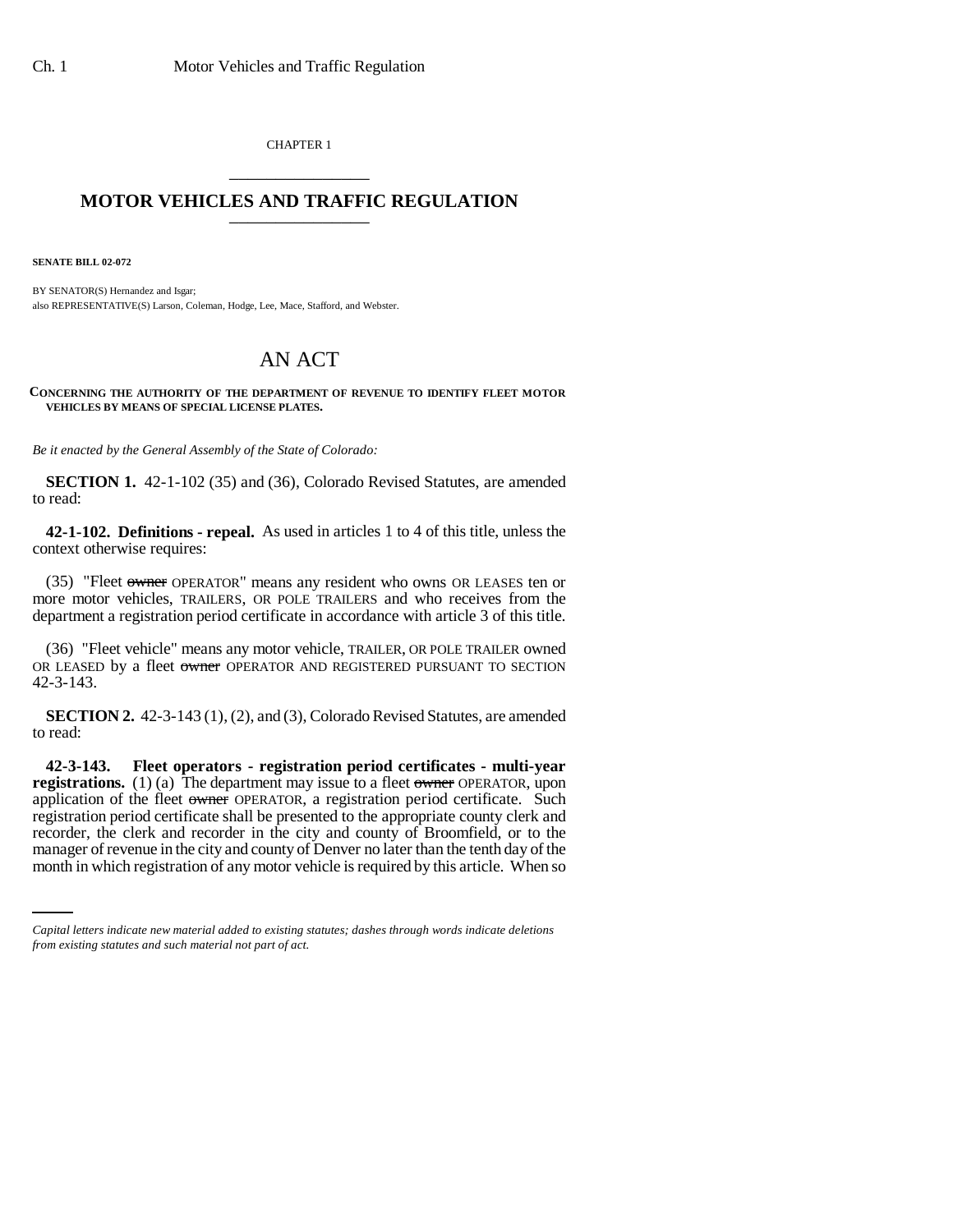CHAPTER 1 \_\_\_\_\_\_\_\_\_\_\_\_\_\_\_

## **MOTOR VEHICLES AND TRAFFIC REGULATION** \_\_\_\_\_\_\_\_\_\_\_\_\_\_\_

**SENATE BILL 02-072**

BY SENATOR(S) Hernandez and Isgar; also REPRESENTATIVE(S) Larson, Coleman, Hodge, Lee, Mace, Stafford, and Webster.

## AN ACT

## **CONCERNING THE AUTHORITY OF THE DEPARTMENT OF REVENUE TO IDENTIFY FLEET MOTOR VEHICLES BY MEANS OF SPECIAL LICENSE PLATES.**

*Be it enacted by the General Assembly of the State of Colorado:*

**SECTION 1.** 42-1-102 (35) and (36), Colorado Revised Statutes, are amended to read:

**42-1-102. Definitions - repeal.** As used in articles 1 to 4 of this title, unless the context otherwise requires:

(35) "Fleet owner OPERATOR" means any resident who owns OR LEASES ten or more motor vehicles, TRAILERS, OR POLE TRAILERS and who receives from the department a registration period certificate in accordance with article 3 of this title.

(36) "Fleet vehicle" means any motor vehicle, TRAILER, OR POLE TRAILER owned OR LEASED by a fleet owner OPERATOR AND REGISTERED PURSUANT TO SECTION 42-3-143.

**SECTION 2.** 42-3-143 (1), (2), and (3), Colorado Revised Statutes, are amended to read:

recorder, the clerk and recorder in the city and county of Broomfield, or to the **42-3-143. Fleet operators - registration period certificates - multi-year registrations.** (1) (a) The department may issue to a fleet owner OPERATOR, upon application of the fleet owner OPERATOR, a registration period certificate. Such registration period certificate shall be presented to the appropriate county clerk and manager of revenue in the city and county of Denver no later than the tenth day of the month in which registration of any motor vehicle is required by this article. When so

*Capital letters indicate new material added to existing statutes; dashes through words indicate deletions from existing statutes and such material not part of act.*